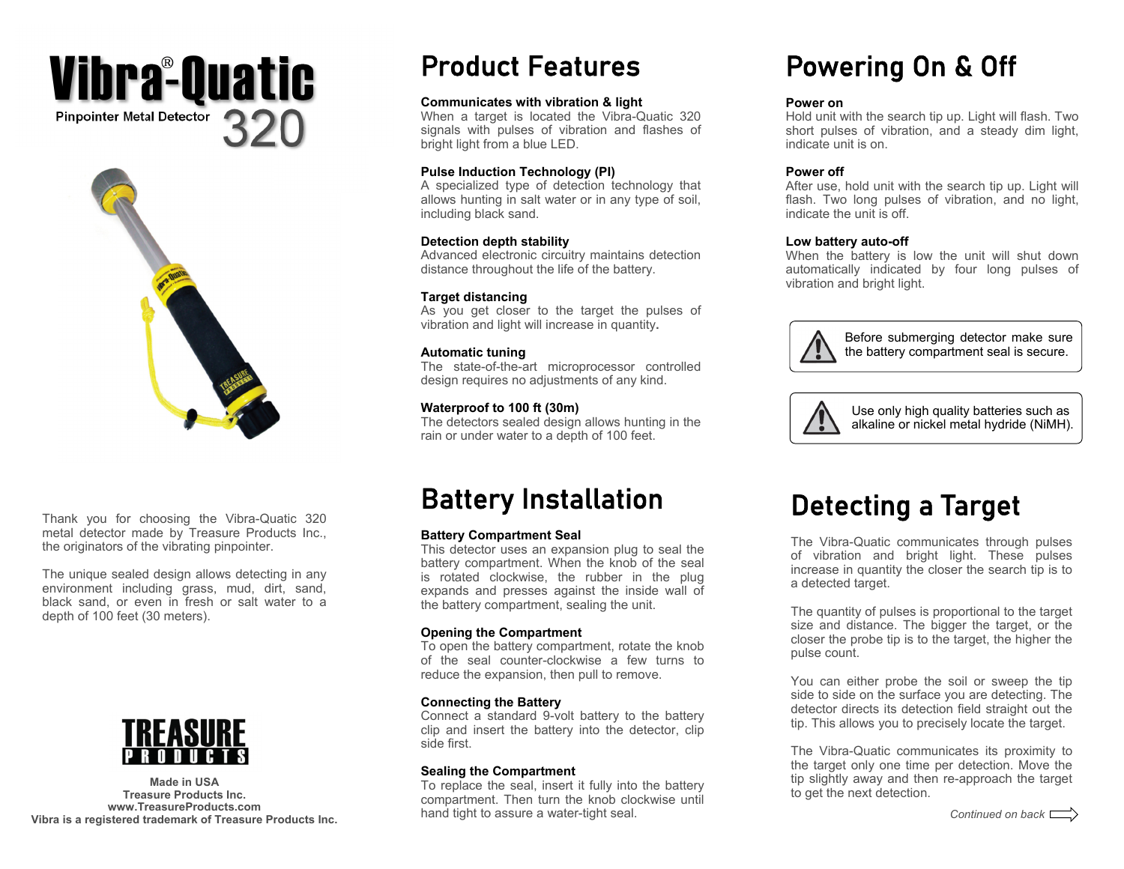# **Pinpointer Metal Detector**  320Vibraº**Quatic**



Thank you for choosing the Vibra-Quatic 320 metal detector made by Treasure Products Inc., the originators of the vibrating pinpointer.

The unique sealed design allows detecting in any environment including grass, mud, dirt, sand, black sand, or even in fresh or salt water to a depth of 100 feet (30 meters).



**Made in USA Treasure Products Inc. www.TreasureProducts.com Vibra is a registered trademark of Treasure Products Inc.** 

# Product Features

### **Communicates with vibration & light**

When a target is located the Vibra-Quatic 320 signals with pulses of vibration and flashes of bright light from a blue LED.

#### **Pulse Induction Technology (PI)**

A specialized type of detection technology that allows hunting in salt water or in any type of soil, including black sand.

#### **Detection depth stability**

Advanced electronic circuitry maintains detection distance throughout the life of the battery.

### **Target distancing**

As you get closer to the target the pulses of vibration and light will increase in quantity**.** 

### **Automatic tuning**

The state-of-the-art microprocessor controlled design requires no adjustments of any kind.

## **Waterproof to 100 ft (30m)**

The detectors sealed design allows hunting in the rain or under water to a depth of 100 feet.

# Battery Installation

### **Battery Compartment Seal**

This detector uses an expansion plug to seal the battery compartment. When the knob of the seal is rotated clockwise, the rubber in the plug expands and presses against the inside wall of the battery compartment, sealing the unit.

### **Opening the Compartment**

To open the battery compartment, rotate the knob of the seal counter-clockwise a few turns to reduce the expansion, then pull to remove.

## **Connecting the Battery**

Connect a standard 9-volt battery to the battery clip and insert the battery into the detector, clip side first.

### **Sealing the Compartment**

To replace the seal, insert it fully into the battery compartment. Then turn the knob clockwise until hand tight to assure a water-tight seal.

# Powering On & Off

### **Power on**

Hold unit with the search tip up. Light will flash. Two short pulses of vibration, and a steady dim light, indicate unit is on.

## **Power off**

After use, hold unit with the search tip up. Light will flash. Two long pulses of vibration, and no light, indicate the unit is off.

### **Low battery auto-off**

When the battery is low the unit will shut down automatically indicated by four long pulses of vibration and bright light.



Before submerging detector make sure the battery compartment seal is secure.



Use only high quality batteries such as alkaline or nickel metal hydride (NiMH).

# Detecting a Target

The Vibra-Quatic communicates through pulses of vibration and bright light. These pulses increase in quantity the closer the search tip is to a detected target.

The quantity of pulses is proportional to the target size and distance. The bigger the target, or the closer the probe tip is to the target, the higher the pulse count.

You can either probe the soil or sweep the tip side to side on the surface you are detecting. The detector directs its detection field straight out the tip. This allows you to precisely locate the target.

The Vibra-Quatic communicates its proximity to the target only one time per detection. Move the tip slightly away and then re-approach the target to get the next detection.